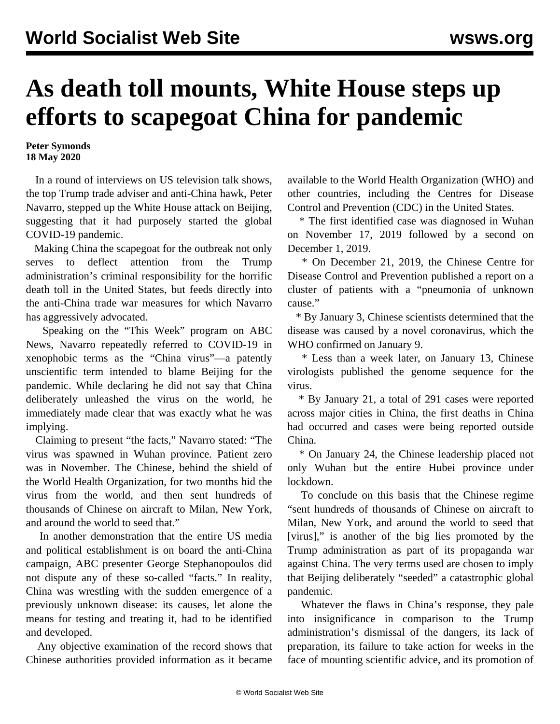## **As death toll mounts, White House steps up efforts to scapegoat China for pandemic**

**Peter Symonds 18 May 2020**

 In a round of interviews on US television talk shows, the top Trump trade adviser and anti-China hawk, Peter Navarro, stepped up the White House attack on Beijing, suggesting that it had purposely started the global COVID-19 pandemic.

 Making China the scapegoat for the outbreak not only serves to deflect attention from the Trump administration's criminal responsibility for the horrific death toll in the United States, but feeds directly into the anti-China trade war measures for which Navarro has aggressively advocated.

 Speaking on the "This Week" program on ABC News, Navarro repeatedly referred to COVID-19 in xenophobic terms as the "China virus"—a patently unscientific term intended to blame Beijing for the pandemic. While declaring he did not say that China deliberately unleashed the virus on the world, he immediately made clear that was exactly what he was implying.

 Claiming to present "the facts," Navarro stated: "The virus was spawned in Wuhan province. Patient zero was in November. The Chinese, behind the shield of the World Health Organization, for two months hid the virus from the world, and then sent hundreds of thousands of Chinese on aircraft to Milan, New York, and around the world to seed that."

 In another demonstration that the entire US media and political establishment is on board the anti-China campaign, ABC presenter George Stephanopoulos did not dispute any of these so-called "facts." In reality, China was wrestling with the sudden emergence of a previously unknown disease: its causes, let alone the means for testing and treating it, had to be identified and developed.

 Any objective examination of the record shows that Chinese authorities provided information as it became available to the World Health Organization (WHO) and other countries, including the Centres for Disease Control and Prevention (CDC) in the United States.

 \* The first identified case was diagnosed in Wuhan on November 17, 2019 followed by a second on December 1, 2019.

 \* On December 21, 2019, the Chinese Centre for Disease Control and Prevention published a report on a cluster of patients with a "pneumonia of unknown cause."

 \* By January 3, Chinese scientists determined that the disease was caused by a novel coronavirus, which the WHO confirmed on January 9.

 \* Less than a week later, on January 13, Chinese virologists published the genome sequence for the virus.

 \* By January 21, a total of 291 cases were reported across major cities in China, the first deaths in China had occurred and cases were being reported outside China.

 \* On January 24, the Chinese leadership placed not only Wuhan but the entire Hubei province under lockdown.

 To conclude on this basis that the Chinese regime "sent hundreds of thousands of Chinese on aircraft to Milan, New York, and around the world to seed that [virus]," is another of the big lies promoted by the Trump administration as part of its propaganda war against China. The very terms used are chosen to imply that Beijing deliberately "seeded" a catastrophic global pandemic.

 Whatever the flaws in China's response, they pale into insignificance in comparison to the Trump administration's dismissal of the dangers, its lack of preparation, its failure to take action for weeks in the face of mounting scientific advice, and its promotion of